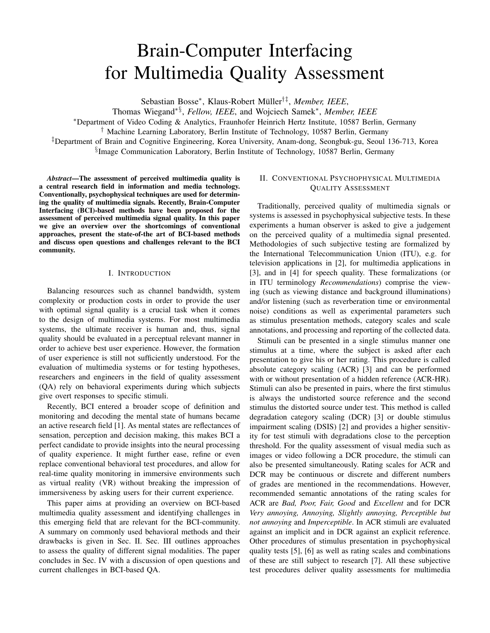# Brain-Computer Interfacing for Multimedia Quality Assessment

Sebastian Bosse<sup>∗</sup>, Klaus-Robert Müller<sup>†‡</sup>, Member, IEEE,

Thomas Wiegand∗§ , *Fellow, IEEE*, and Wojciech Samek<sup>∗</sup> , *Member, IEEE*

<sup>∗</sup>Department of Video Coding & Analytics, Fraunhofer Heinrich Hertz Institute, 10587 Berlin, Germany

† Machine Learning Laboratory, Berlin Institute of Technology, 10587 Berlin, Germany

‡Department of Brain and Cognitive Engineering, Korea University, Anam-dong, Seongbuk-gu, Seoul 136-713, Korea § Image Communication Laboratory, Berlin Institute of Technology, 10587 Berlin, Germany

*Abstract*—The assessment of perceived multimedia quality is a central research field in information and media technology. Conventionally, psychophysical techniques are used for determining the quality of multimedia signals. Recently, Brain-Computer Interfacing (BCI)-based methods have been proposed for the assessment of perceived multimedia signal quality. In this paper we give an overview over the shortcomings of conventional approaches, present the state-of-the art of BCI-based methods and discuss open questions and challenges relevant to the BCI community.

## I. INTRODUCTION

Balancing resources such as channel bandwidth, system complexity or production costs in order to provide the user with optimal signal quality is a crucial task when it comes to the design of multimedia systems. For most multimedia systems, the ultimate receiver is human and, thus, signal quality should be evaluated in a perceptual relevant manner in order to achieve best user experience. However, the formation of user experience is still not sufficiently understood. For the evaluation of multimedia systems or for testing hypotheses, researchers and engineers in the field of quality assessment (QA) rely on behavioral experiments during which subjects give overt responses to specific stimuli.

Recently, BCI entered a broader scope of definition and monitoring and decoding the mental state of humans became an active research field [1]. As mental states are reflectances of sensation, perception and decision making, this makes BCI a perfect candidate to provide insights into the neural processing of quality experience. It might further ease, refine or even replace conventional behavioral test procedures, and allow for real-time quality monitoring in immersive environments such as virtual reality (VR) without breaking the impression of immersiveness by asking users for their current experience.

This paper aims at providing an overview on BCI-based multimedia quality assessment and identifying challenges in this emerging field that are relevant for the BCI-community. A summary on commonly used behavioral methods and their drawbacks is given in Sec. II. Sec. III outlines approaches to assess the quality of different signal modalities. The paper concludes in Sec. IV with a discussion of open questions and current challenges in BCI-based QA.

# II. CONVENTIONAL PSYCHOPHYSICAL MULTIMEDIA QUALITY ASSESSMENT

Traditionally, perceived quality of multimedia signals or systems is assessed in psychophysical subjective tests. In these experiments a human observer is asked to give a judgement on the perceived quality of a multimedia signal presented. Methodologies of such subjective testing are formalized by the International Telecommunication Union (ITU), e.g. for television applications in [2], for multimedia applications in [3], and in [4] for speech quality. These formalizations (or in ITU terminology *Recommendations*) comprise the viewing (such as viewing distance and background illuminations) and/or listening (such as reverberation time or environmental noise) conditions as well as experimental parameters such as stimulus presentation methods, category scales and scale annotations, and processing and reporting of the collected data.

Stimuli can be presented in a single stimulus manner one stimulus at a time, where the subject is asked after each presentation to give his or her rating. This procedure is called absolute category scaling (ACR) [3] and can be performed with or without presentation of a hidden reference (ACR-HR). Stimuli can also be presented in pairs, where the first stimulus is always the undistorted source reference and the second stimulus the distorted source under test. This method is called degradation category scaling (DCR) [3] or double stimulus impairment scaling (DSIS) [2] and provides a higher sensitivity for test stimuli with degradations close to the perception threshold. For the quality assessment of visual media such as images or video following a DCR procedure, the stimuli can also be presented simultaneously. Rating scales for ACR and DCR may be continuous or discrete and different numbers of grades are mentioned in the recommendations. However, recommended semantic annotations of the rating scales for ACR are *Bad, Poor, Fair, Good* and *Excellent* and for DCR *Very annoying, Annoying, Slightly annoying, Perceptible but not annoying* and *Imperceptible*. In ACR stimuli are evaluated against an implicit and in DCR against an explicit reference. Other procedures of stimulus presentation in psychophysical quality tests [5], [6] as well as rating scales and combinations of these are still subject to research [7]. All these subjective test procedures deliver quality assessments for multimedia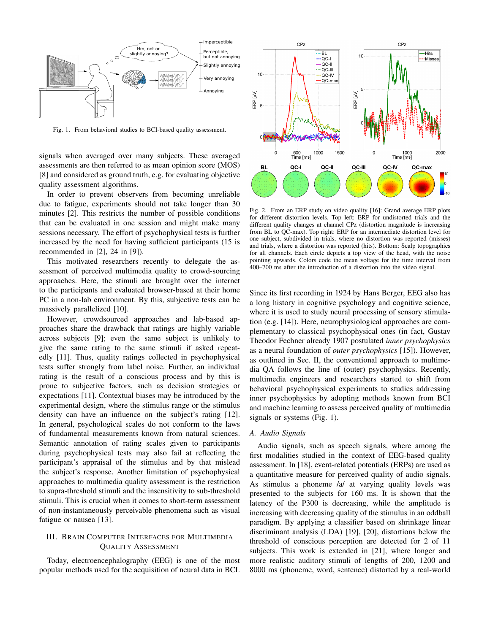

Fig. 1. From behavioral studies to BCI-based quality assessment.

signals when averaged over many subjects. These averaged assessments are then referred to as mean opinion score (MOS) [8] and considered as ground truth, e.g. for evaluating objective quality assessment algorithms.

In order to prevent observers from becoming unreliable due to fatigue, experiments should not take longer than 30 minutes [2]. This restricts the number of possible conditions that can be evaluated in one session and might make many sessions necessary. The effort of psychophysical tests is further increased by the need for having sufficient participants (15 is recommended in [2], 24 in [9]).

This motivated researchers recently to delegate the assessment of perceived multimedia quality to crowd-sourcing approaches. Here, the stimuli are brought over the internet to the participants and evaluated browser-based at their home PC in a non-lab environment. By this, subjective tests can be massively parallelized [10].

However, crowdsourced approaches and lab-based approaches share the drawback that ratings are highly variable across subjects [9]; even the same subject is unlikely to give the same rating to the same stimuli if asked repeatedly [11]. Thus, quality ratings collected in psychophysical tests suffer strongly from label noise. Further, an individual rating is the result of a conscious process and by this is prone to subjective factors, such as decision strategies or expectations [11]. Contextual biases may be introduced by the experimental design, where the stimulus range or the stimulus density can have an influence on the subject's rating [12]. In general, psychological scales do not conform to the laws of fundamental measurements known from natural sciences. Semantic annotation of rating scales given to participants during psychophysical tests may also fail at reflecting the participant's appraisal of the stimulus and by that mislead the subject's response. Another limitation of psychophysical approaches to multimedia quality assessment is the restriction to supra-threshold stimuli and the insensitivity to sub-threshold stimuli. This is crucial when it comes to short-term assessment of non-instantaneously perceivable phenomena such as visual fatigue or nausea [13].

# III. BRAIN COMPUTER INTERFACES FOR MULTIMEDIA QUALITY ASSESSMENT

Today, electroencephalography (EEG) is one of the most popular methods used for the acquisition of neural data in BCI.



Fig. 2. From an ERP study on video quality [16]: Grand average ERP plots for different distortion levels. Top left: ERP for undistorted trials and the different quality changes at channel CPz (distortion magnitude is increasing from BL to QC-max). Top right: ERP for an intermediate distortion level for one subject, subdivided in trials, where no distortion was reported (misses) and trials, where a distortion was reported (hits). Bottom: Scalp topographies for all channels. Each circle depicts a top view of the head, with the noise pointing upwards. Colors code the mean voltage for the time interval from 400–700 ms after the introduction of a distortion into the video signal.

Since its first recording in 1924 by Hans Berger, EEG also has a long history in cognitive psychology and cognitive science, where it is used to study neural processing of sensory stimulation (e.g. [14]). Here, neurophysiological approaches are complementary to classical psychophysical ones (in fact, Gustav Theodor Fechner already 1907 postulated *inner psychophysics* as a neural foundation of *outer psychophysics* [15]). However, as outlined in Sec. II, the conventional approach to multimedia QA follows the line of (outer) psychophysics. Recently, multimedia engineers and researchers started to shift from behavioral psychophysical experiments to studies addressing inner psychophysics by adopting methods known from BCI and machine learning to assess perceived quality of multimedia signals or systems (Fig. 1).

#### *A. Audio Signals*

Audio signals, such as speech signals, where among the first modalities studied in the context of EEG-based quality assessment. In [18], event-related potentials (ERPs) are used as a quantitative measure for perceived quality of audio signals. As stimulus a phoneme /a/ at varying quality levels was presented to the subjects for 160 ms. It is shown that the latency of the P300 is decreasing, while the amplitude is increasing with decreasing quality of the stimulus in an oddball paradigm. By applying a classifier based on shrinkage linear discriminant analysis (LDA) [19], [20], distortions below the threshold of conscious perception are detected for 2 of 11 subjects. This work is extended in [21], where longer and more realistic auditory stimuli of lengths of 200, 1200 and 8000 ms (phoneme, word, sentence) distorted by a real-world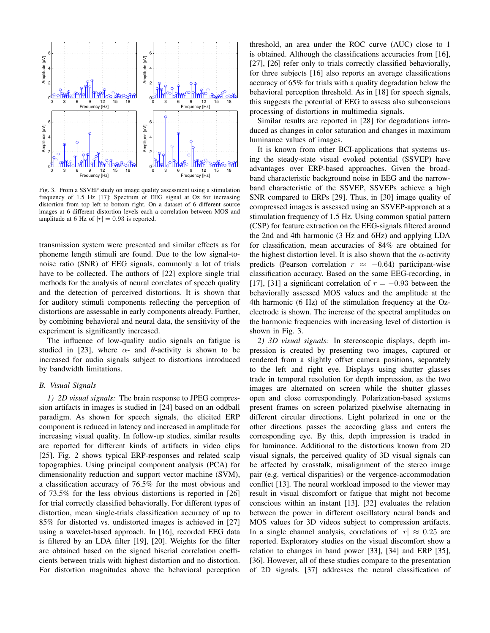

Fig. 3. From a SSVEP study on image quality assessment using a stimulation frequency of 1.5 Hz [17]: Spectrum of EEG signal at Oz for increasing distortion from top left to bottom right. On a dataset of 6 different source images at 6 different distortion levels each a correlation between MOS and amplitude at 6 Hz of  $|r| = 0.93$  is reported.

transmission system were presented and similar effects as for phoneme length stimuli are found. Due to the low signal-tonoise ratio (SNR) of EEG signals, commonly a lot of trials have to be collected. The authors of [22] explore single trial methods for the analysis of neural correlates of speech quality and the detection of perceived distortions. It is shown that for auditory stimuli components reflecting the perception of distortions are assessable in early components already. Further, by combining behavioral and neural data, the sensitivity of the experiment is significantly increased.

The influence of low-quality audio signals on fatigue is studied in [23], where  $\alpha$ - and  $\theta$ -activity is shown to be increased for audio signals subject to distortions introduced by bandwidth limitations.

#### *B. Visual Signals*

*1) 2D visual signals:* The brain response to JPEG compression artifacts in images is studied in [24] based on an oddball paradigm. As shown for speech signals, the elicited ERP component is reduced in latency and increased in amplitude for increasing visual quality. In follow-up studies, similar results are reported for different kinds of artifacts in video clips [25]. Fig. 2 shows typical ERP-responses and related scalp topographies. Using principal component analysis (PCA) for dimensionality reduction and support vector machine (SVM), a classification accuracy of 76.5% for the most obvious and of 73.5% for the less obvious distortions is reported in [26] for trial correctly classified behaviorally. For different types of distortion, mean single-trials classification accuracy of up to 85% for distorted vs. undistorted images is achieved in [27] using a wavelet-based approach. In [16], recorded EEG data is filtered by an LDA filter [19], [20]. Weights for the filter are obtained based on the signed biserial correlation coefficients between trials with highest distortion and no distortion. For distortion magnitudes above the behavioral perception

threshold, an area under the ROC curve (AUC) close to 1 is obtained. Although the classifications accuracies from [16], [27], [26] refer only to trials correctly classified behaviorally, for three subjects [16] also reports an average classifications accuracy of 65% for trials with a quality degradation below the behavioral perception threshold. As in [18] for speech signals, this suggests the potential of EEG to assess also subconscious processing of distortions in multimedia signals.

Similar results are reported in [28] for degradations introduced as changes in color saturation and changes in maximum luminance values of images.

It is known from other BCI-applications that systems using the steady-state visual evoked potential (SSVEP) have advantages over ERP-based approaches. Given the broadband characteristic background noise in EEG and the narrowband characteristic of the SSVEP, SSVEPs achieve a high SNR compared to ERPs [29]. Thus, in [30] image quality of compressed images is assessed using an SSVEP-approach at a stimulation frequency of 1.5 Hz. Using common spatial pattern (CSP) for feature extraction on the EEG-signals filtered around the 2nd and 4th harmonic (3 Hz and 6Hz) and applying LDA for classification, mean accuracies of 84% are obtained for the highest distortion level. It is also shown that the  $\alpha$ -activity predicts (Pearson correlation  $r \approx -0.64$ ) participant-wise classification accuracy. Based on the same EEG-recording, in [17], [31] a significant correlation of  $r = -0.93$  between the behaviorally assessed MOS values and the amplitude at the 4th harmonic (6 Hz) of the stimulation frequency at the Ozelectrode is shown. The increase of the spectral amplitudes on the harmonic frequencies with increasing level of distortion is shown in Fig. 3.

*2) 3D visual signals:* In stereoscopic displays, depth impression is created by presenting two images, captured or rendered from a slightly offset camera positions, separately to the left and right eye. Displays using shutter glasses trade in temporal resolution for depth impression, as the two images are alternated on screen while the shutter glasses open and close correspondingly. Polarization-based systems present frames on screen polarized pixelwise alternating in different circular directions. Light polarized in one or the other directions passes the according glass and enters the corresponding eye. By this, depth impression is traded in for luminance. Additional to the distortions known from 2D visual signals, the perceived quality of 3D visual signals can be affected by crosstalk, misalignment of the stereo image pair (e.g. vertical disparities) or the vergence-accommodation conflict [13]. The neural workload imposed to the viewer may result in visual discomfort or fatigue that might not become conscious within an instant [13]. [32] evaluates the relation between the power in different oscillatory neural bands and MOS values for 3D videos subject to compression artifacts. In a single channel analysis, correlations of  $|r| \approx 0.25$  are reported. Exploratory studies on the visual discomfort show a relation to changes in band power [33], [34] and ERP [35], [36]. However, all of these studies compare to the presentation of 2D signals. [37] addresses the neural classification of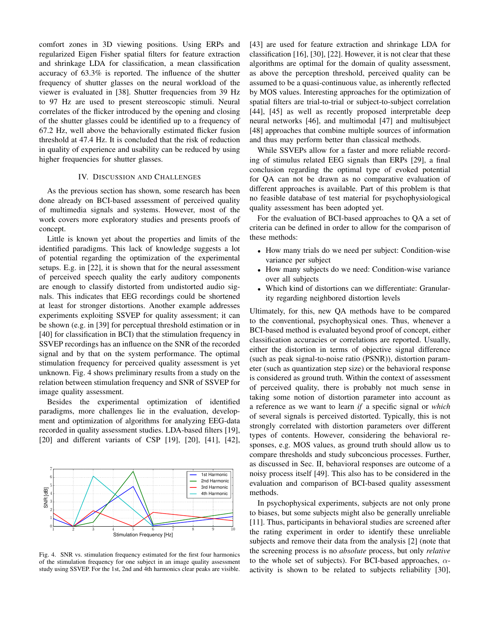comfort zones in 3D viewing positions. Using ERPs and regularized Eigen Fisher spatial filters for feature extraction and shrinkage LDA for classification, a mean classification accuracy of 63.3% is reported. The influence of the shutter frequency of shutter glasses on the neural workload of the viewer is evaluated in [38]. Shutter frequencies from 39 Hz to 97 Hz are used to present stereoscopic stimuli. Neural correlates of the flicker introduced by the opening and closing of the shutter glasses could be identified up to a frequency of 67.2 Hz, well above the behaviorally estimated flicker fusion threshold at 47.4 Hz. It is concluded that the risk of reduction in quality of experience and usability can be reduced by using higher frequencies for shutter glasses.

### IV. DISCUSSION AND CHALLENGES

As the previous section has shown, some research has been done already on BCI-based assessment of perceived quality of multimedia signals and systems. However, most of the work covers more exploratory studies and presents proofs of concept.

Little is known yet about the properties and limits of the identified paradigms. This lack of knowledge suggests a lot of potential regarding the optimization of the experimental setups. E.g. in [22], it is shown that for the neural assessment of perceived speech quality the early auditory components are enough to classify distorted from undistorted audio signals. This indicates that EEG recordings could be shortened at least for stronger distortions. Another example addresses experiments exploiting SSVEP for quality assessment; it can be shown (e.g. in [39] for perceptual threshold estimation or in [40] for classification in BCI) that the stimulation frequency in SSVEP recordings has an influence on the SNR of the recorded signal and by that on the system performance. The optimal stimulation frequency for perceived quality assessment is yet unknown. Fig. 4 shows preliminary results from a study on the relation between stimulation frequency and SNR of SSVEP for image quality assessment.

Besides the experimental optimization of identified paradigms, more challenges lie in the evaluation, development and optimization of algorithms for analyzing EEG-data recorded in quality assessment studies. LDA-based filters [19], [20] and different variants of CSP [19], [20], [41], [42],



Fig. 4. SNR vs. stimulation frequency estimated for the first four harmonics of the stimulation frequency for one subject in an image quality assessment study using SSVEP. For the 1st, 2nd and 4th harmonics clear peaks are visible.

[43] are used for feature extraction and shrinkage LDA for classification [16], [30], [22]. However, it is not clear that these algorithms are optimal for the domain of quality assessment, as above the perception threshold, perceived quality can be assumed to be a quasi-continuous value, as inherently reflected by MOS values. Interesting approaches for the optimization of spatial filters are trial-to-trial or subject-to-subject correlation [44], [45] as well as recently proposed interpretable deep neural networks [46], and multimodal [47] and multisubject [48] approaches that combine multiple sources of information and thus may perform better than classical methods.

While SSVEPs allow for a faster and more reliable recording of stimulus related EEG signals than ERPs [29], a final conclusion regarding the optimal type of evoked potential for QA can not be drawn as no comparative evaluation of different approaches is available. Part of this problem is that no feasible database of test material for psychophysiological quality assessment has been adopted yet.

For the evaluation of BCI-based approaches to QA a set of criteria can be defined in order to allow for the comparison of these methods:

- How many trials do we need per subject: Condition-wise variance per subject
- How many subjects do we need: Condition-wise variance over all subjects
- Which kind of distortions can we differentiate: Granularity regarding neighbored distortion levels

Ultimately, for this, new QA methods have to be compared to the conventional, psychophysical ones. Thus, whenever a BCI-based method is evaluated beyond proof of concept, either classification accuracies or correlations are reported. Usually, either the distortion in terms of objective signal difference (such as peak signal-to-noise ratio (PSNR)), distortion parameter (such as quantization step size) or the behavioral response is considered as ground truth. Within the context of assessment of perceived quality, there is probably not much sense in taking some notion of distortion parameter into account as a reference as we want to learn *if* a specific signal or *which* of several signals is perceived distorted. Typically, this is not strongly correlated with distortion parameters over different types of contents. However, considering the behavioral responses, e.g. MOS values, as ground truth should allow us to compare thresholds and study subconcious processes. Further, as discussed in Sec. II, behavioral responses are outcome of a noisy process itself [49]. This also has to be considered in the evaluation and comparison of BCI-based quality assessment methods.

In psychophysical experiments, subjects are not only prone to biases, but some subjects might also be generally unreliable [11]. Thus, participants in behavioral studies are screened after the rating experiment in order to identify these unreliable subjects and remove their data from the analysis [2] (note that the screening process is no *absolute* process, but only *relative* to the whole set of subjects). For BCI-based approaches,  $\alpha$ activity is shown to be related to subjects reliability [30],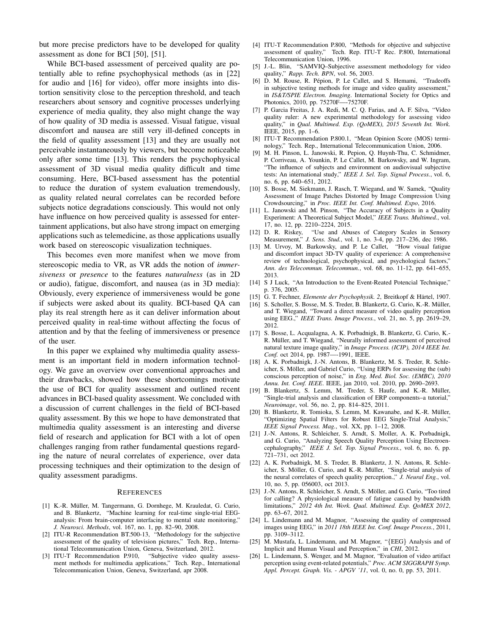but more precise predictors have to be developed for quality assessment as done for BCI [50], [51].

While BCI-based assessment of perceived quality are potentially able to refine psychophysical methods (as in [22] for audio and [16] for video), offer more insights into distortion sensitivity close to the perception threshold, and teach researchers about sensory and cognitive processes underlying experience of media quality, they also might change the way of how quality of 3D media is assessed. Visual fatigue, visual discomfort and nausea are still very ill-defined concepts in the field of quality assessment [13] and they are usually not perceivable instantaneously by viewers, but become noticeable only after some time [13]. This renders the psychophysical assessment of 3D visual media quality difficult and time consuming. Here, BCI-based assessment has the potential to reduce the duration of system evaluation tremendously, as quality related neural correlates can be recorded before subjects notice degradations consciously. This would not only have influence on how perceived quality is assessed for entertainment applications, but also have strong impact on emerging applications such as telemedicine, as those applications usually work based on stereoscopic visualization techniques.

This becomes even more manifest when we move from stereoscopic media to VR, as VR adds the notion of *immersiveness* or *presence* to the features *naturalness* (as in 2D or audio), fatigue, discomfort, and nausea (as in 3D media): Obviously, every experience of immersiveness would be gone if subjects were asked about its quality. BCI-based QA can play its real strength here as it can deliver information about perceived quality in real-time without affecting the focus of attention and by that the feeling of immersiveness or presence of the user.

In this paper we explained why multimedia quality assessment is an important field in modern information technology. We gave an overview over conventional approaches and their drawbacks, showed how these shortcomings motivate the use of BCI for quality assessment and outlined recent advances in BCI-based quality assessment. We concluded with a discussion of current challenges in the field of BCI-based quality assessment. By this we hope to have demonstrated that multimedia quality assessment is an interesting and diverse field of research and application for BCI with a lot of open challenges ranging from rather fundamental questions regarding the nature of neural correlates of experience, over data processing techniques and their optimization to the design of quality assessment paradigms.

#### **REFERENCES**

- [1] K.-R. Müller, M. Tangermann, G. Dornhege, M. Krauledat, G. Curio, and B. Blankertz, "Machine learning for real-time single-trial EEGanalysis: From brain-computer interfacing to mental state monitoring," *J. Neurosci. Methods*, vol. 167, no. 1, pp. 82–90, 2008.
- [2] ITU-R Recommendation BT.500-13, "Methodology for the subjective assessment of the quality of television pictures," Tech. Rep., International Telecommunication Union, Geneva, Switzerland, 2012.
- [3] ITU-T Recommendation P.910, "Subjective video quality assessment methods for multimedia applications," Tech. Rep., International Telecommunication Union, Geneva, Switzerland, apr 2008.
- [4] ITU-T Recommendation P.800, "Methods for objective and subjective assessment of quality," Tech. Rep. ITU-T Rec. P.800, International Telecommunication Union, 1996.
- [5] J.-L. Blin, "SAMVIQ–Subjective assessment methodology for video quality," *Rapp. Tech. BPN*, vol. 56, 2003.
- [6] D. M. Rouse, R. Pépion, P. Le Callet, and S. Hemami, "Tradeoffs in subjective testing methods for image and video quality assessment," in *IS&T/SPIE Electron. Imaging*. International Society for Optics and Photonics, 2010, pp. 75270F—-75270F.
- [7] P. Garcia Freitas, J. A. Redi, M. C. Q. Farias, and A. F. Silva, "Video quality ruler: A new experimental methodology for assessing video quality," in *Qual. Multimed. Exp. (QoMEX), 2015 Seventh Int. Work.* IEEE, 2015, pp. 1–6.
- [8] ITU-T Recommendation P.800.1, "Mean Opinion Score (MOS) terminology," Tech. Rep., International Telecommunication Union, 2006.
- [9] M. H. Pinson, L. Janowski, R. Pepion, Q. Huynh-Thu, C. Schmidmer, P. Corriveau, A. Younkin, P. Le Callet, M. Barkowsky, and W. Ingram, "The influence of subjects and environment on audiovisual subjective tests: An international study," *IEEE J. Sel. Top. Signal Process.*, vol. 6, no. 6, pp. 640–651, 2012.
- [10] S. Bosse, M. Siekmann, J. Rasch, T. Wiegand, and W. Samek, "Quality Assessment of Image Patches Distorted by Image Compression Using Crowdsourcing," in *Proc. IEEE Int. Conf. Multimed. Expo*, 2016.
- [11] L. Janowski and M. Pinson, "The Accuracy of Subjects in a Quality Experiment: A Theoretical Subject Model," *IEEE Trans. Multimed.*, vol. 17, no. 12, pp. 2210–2224, 2015.<br>[12] D. R. Riskey, "Use and Abu
- "Use and Abuses of Category Scales in Sensory Measurement," *J. Sens. Stud.*, vol. 1, no. 3-4, pp. 217–236, dec 1986.
- [13] M. Urvoy, M. Barkowsky, and P. Le Callet, "How visual fatigue and discomfort impact 3D-TV quality of experience: A comprehensive review of technological, psychophysical, and psychological factors," *Ann. des Telecommun. Telecommun.*, vol. 68, no. 11-12, pp. 641–655, 2013.
- [14] S J Luck, "An Introduction to the Event-Reated Potencial Technique," p. 376, 2005.
- [15] G. T. Fechner, *Elemente der Psychophysik*. 2, Breitkopf & Härtel, 1907.
- [16] S. Scholler, S. Bosse, M. S. Treder, B. Blankertz, G. Curio, K.-R. Müller, and T. Wiegand, "Toward a direct measure of video quality perception using EEG.," *IEEE Trans. Image Process.*, vol. 21, no. 5, pp. 2619–29, 2012.
- [17] S. Bosse, L. Acqualagna, A. K. Porbadnigk, B. Blankertz, G. Curio, K.- R. Müller, and T. Wiegand, "Neurally informed assessment of perceived natural texture image quality," in *Image Process. (ICIP), 2014 IEEE Int. Conf.* oct 2014, pp. 1987—-1991, IEEE.
- [18] A. K. Porbadnigk, J.-N. Antons, B. Blankertz, M. S. Treder, R. Schleicher, S. Möller, and Gabriel Curio, "Using ERPs for assessing the (sub) conscious perception of noise," in *Eng. Med. Biol. Soc. (EMBC), 2010 Annu. Int. Conf. IEEE*. IEEE, jan 2010, vol. 2010, pp. 2690–2693.
- [19] B. Blankertz, S. Lemm, M. Treder, S. Haufe, and K.-R. Müller, "Single-trial analysis and classification of ERP components–a tutorial," *Neuroimage*, vol. 56, no. 2, pp. 814–825, 2011.
- [20] B. Blankertz, R. Tomioka, S. Lemm, M. Kawanabe, and K.-R. Müller, "Optimizing Spatial Filters for Robust EEG Single-Trial Analysis," *IEEE Signal Process. Mag.*, vol. XX, pp. 1–12, 2008.
- [21] J.-N. Antons, R. Schleicher, S. Arndt, S. Moller, A. K. Porbadnigk, and G. Curio, "Analyzing Speech Quality Perception Using Electroencephalography," *IEEE J. Sel. Top. Signal Process.*, vol. 6, no. 6, pp. 721–731, oct 2012.
- [22] A. K. Porbadnigk, M. S. Treder, B. Blankertz, J. N. Antons, R. Schleicher, S. Möller, G. Curio, and K.-R. Müller, "Single-trial analysis of the neural correlates of speech quality perception.," *J. Neural Eng.*, vol. 10, no. 5, pp. 056003, oct 2013.
- [23] J.-N. Antons, R. Schleicher, S. Arndt, S. Möller, and G. Curio, "Too tired for calling? A physiological measure of fatigue caused by bandwidth limitations," *2012 4th Int. Work. Qual. Multimed. Exp. QoMEX 2012*, pp. 63–67, 2012.
- [24] L. Lindemann and M. Magnor, "Assessing the quality of compressed images using EEG," in *2011 18th IEEE Int. Conf. Image Process.*, 2011, pp. 3109–3112.
- [25] M. Mustafa, L. Lindemann, and M. Magnor, "{EEG} Analysis and of Implicit and Human Visual and Perception," in *CHI*, 2012.
- [26] L. Lindemann, S. Wenger, and M. Magnor, "Evaluation of video artifact perception using event-related potentials," *Proc. ACM SIGGRAPH Symp. Appl. Percept. Graph. Vis. - APGV '11*, vol. 0, no. 0, pp. 53, 2011.